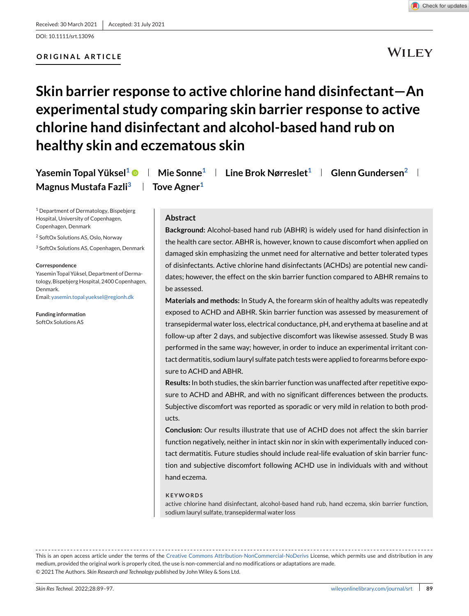# **ORIGINAL ARTICLE**



# **WILEY**

# **Skin barrier response to active chlorine hand disinfectant—An experimental study comparing skin barrier response to active chlorine hand disinfectant and alcohol-based hand rub on healthy skin and eczematous skin**

| Yasemin Topal Yüksel <sup>1</sup> $\bullet$   Mie Sonne <sup>1</sup>   Line Brok Nørreslet <sup>1</sup>   Glenn Gundersen <sup>2</sup> |                         |  |  |  |
|----------------------------------------------------------------------------------------------------------------------------------------|-------------------------|--|--|--|
| Magnus Mustafa Fazli <sup>3</sup>                                                                                                      | Tove Agner <sup>1</sup> |  |  |  |

<sup>1</sup> Department of Dermatology, Bispebjerg Hospital, University of Copenhagen, Copenhagen, Denmark

<sup>2</sup> SoftOx Solutions AS, Oslo, Norway

<sup>3</sup> SoftOx Solutions AS, Copenhagen, Denmark

#### **Correspondence**

Yasemin Topal Yüksel, Department of Dermatology, Bispebjerg Hospital, 2400 Copenhagen, Denmark. Email: [yasemin.topal.yueksel@regionh.dk](mailto:yasemin.topal.yueksel@regionh.dk)

**Funding information** SoftOx Solutions AS

### **Abstract**

**Background:** Alcohol-based hand rub (ABHR) is widely used for hand disinfection in the health care sector. ABHR is, however, known to cause discomfort when applied on damaged skin emphasizing the unmet need for alternative and better tolerated types of disinfectants. Active chlorine hand disinfectants (ACHDs) are potential new candidates; however, the effect on the skin barrier function compared to ABHR remains to be assessed.

**Materials and methods:** In Study A, the forearm skin of healthy adults was repeatedly exposed to ACHD and ABHR. Skin barrier function was assessed by measurement of transepidermal water loss, electrical conductance, pH, and erythema at baseline and at follow-up after 2 days, and subjective discomfort was likewise assessed. Study B was performed in the same way; however, in order to induce an experimental irritant contact dermatitis, sodium lauryl sulfate patch tests were applied to forearms before exposure to ACHD and ABHR.

**Results:** In both studies, the skin barrier function was unaffected after repetitive exposure to ACHD and ABHR, and with no significant differences between the products. Subjective discomfort was reported as sporadic or very mild in relation to both products.

**Conclusion:** Our results illustrate that use of ACHD does not affect the skin barrier function negatively, neither in intact skin nor in skin with experimentally induced contact dermatitis. Future studies should include real-life evaluation of skin barrier function and subjective discomfort following ACHD use in individuals with and without hand eczema.

#### **KEYWORDS**

active chlorine hand disinfectant, alcohol-based hand rub, hand eczema, skin barrier function, sodium lauryl sulfate, transepidermal water loss

This is an open access article under the terms of the [Creative Commons Attribution-NonCommercial-NoDerivs](http://creativecommons.org/licenses/by-nc-nd/4.0/) License, which permits use and distribution in any medium, provided the original work is properly cited, the use is non-commercial and no modifications or adaptations are made. © 2021 The Authors. *Skin Research and Technology* published by John Wiley & Sons Ltd.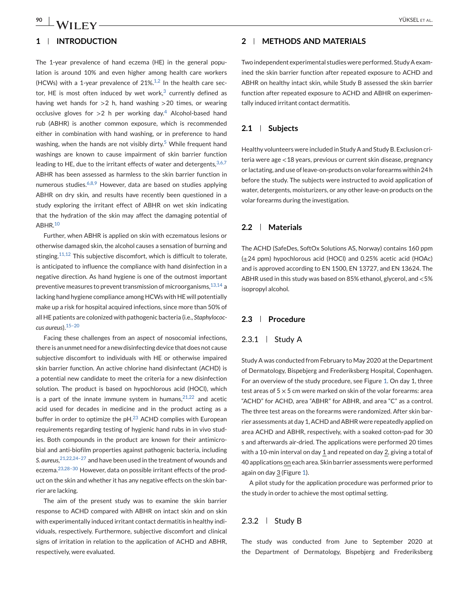### **1 INTRODUCTION**

The 1-year prevalence of hand eczema (HE) in the general population is around 10% and even higher among health care workers (HCWs) with a 1-year prevalence of  $21\%.$ <sup>[1,2](#page-6-0)</sup> In the health care sector, HE is most often induced by wet work, $3$  currently defined as having wet hands for  $>2$  h, hand washing  $>20$  times, or wearing occlusive gloves for  $>2$  h per working day.<sup>[4](#page-7-0)</sup> Alcohol-based hand rub (ABHR) is another common exposure, which is recommended either in combination with hand washing, or in preference to hand washing, when the hands are not visibly dirty.<sup>[5](#page-7-0)</sup> While frequent hand washings are known to cause impairment of skin barrier function leading to HE, due to the irritant effects of water and detergents,  $3,6,7$ ABHR has been assessed as harmless to the skin barrier function in numerous studies. $6,6,8,9$  $6,6,8,9$  However, data are based on studies applying ABHR on dry skin, and results have recently been questioned in a study exploring the irritant effect of ABHR on wet skin indicating that the hydration of the skin may affect the damaging potential of ABHR.[10](#page-7-0)

Further, when ABHR is applied on skin with eczematous lesions or otherwise damaged skin, the alcohol causes a sensation of burning and stinging.<sup>[11,12](#page-7-0)</sup> This subjective discomfort, which is difficult to tolerate, is anticipated to influence the compliance with hand disinfection in a negative direction. As hand hygiene is one of the outmost important preventive measures to prevent transmission of microorganisms,  $13,14$  a lacking hand hygiene compliance among HCWs with HE will potentially make up a risk for hospital acquired infections, since more than 50% of all HE patients are colonized with pathogenic bacteria (i.e., *Staphylococcus aureus*).[15–20](#page-7-0)

Facing these challenges from an aspect of nosocomial infections, there is an unmet need for a new disinfecting device that does not cause subjective discomfort to individuals with HE or otherwise impaired skin barrier function. An active chlorine hand disinfectant (ACHD) is a potential new candidate to meet the criteria for a new disinfection solution. The product is based on hypochlorous acid (HOCl), which is a part of the innate immune system in humans,  $21,22$  and acetic acid used for decades in medicine and in the product acting as a buffer in order to optimize the pH.<sup>[23](#page-7-0)</sup> ACHD complies with European requirements regarding testing of hygienic hand rubs in in vivo studies. Both compounds in the product are known for their antimicrobial and anti-biofilm properties against pathogenic bacteria, including *S. aureus*, [21,22,24–27](#page-7-0) and have been used in the treatment of wounds and eczema.[23,28–30](#page-7-0) However, data on possible irritant effects of the product on the skin and whether it has any negative effects on the skin barrier are lacking.

The aim of the present study was to examine the skin barrier response to ACHD compared with ABHR on intact skin and on skin with experimentally induced irritant contact dermatitis in healthy individuals, respectively. Furthermore, subjective discomfort and clinical signs of irritation in relation to the application of ACHD and ABHR, respectively, were evaluated.

# **2 METHODS AND MATERIALS**

Two independent experimental studies were performed. Study A examined the skin barrier function after repeated exposure to ACHD and ABHR on healthy intact skin, while Study B assessed the skin barrier function after repeated exposure to ACHD and ABHR on experimentally induced irritant contact dermatitis.

#### **2.1 Subjects**

Healthy volunteers were included in Study A and Study B. Exclusion criteria were age <18 years, previous or current skin disease, pregnancy or lactating, and use of leave-on-products on volar forearms within 24 h before the study. The subjects were instructed to avoid application of water, detergents, moisturizers, or any other leave-on products on the volar forearms during the investigation.

#### **2.2 Materials**

The ACHD (SafeDes, SoftOx Solutions AS, Norway) contains 160 ppm  $(\pm 24 \text{ ppm})$  hypochlorous acid (HOCl) and 0.25% acetic acid (HOAc) and is approved according to EN 1500, EN 13727, and EN 13624. The ABHR used in this study was based on 85% ethanol, glycerol, and <5% isopropyl alcohol.

#### **2.3 Procedure**

# 2.3.1 Study A

Study A was conducted from February to May 2020 at the Department of Dermatology, Bispebjerg and Frederiksberg Hospital, Copenhagen. For an overview of the study procedure, see Figure [1.](#page-2-0) On day 1, three test areas of  $5 \times 5$  cm were marked on skin of the volar forearms: area "ACHD" for ACHD, area "ABHR" for ABHR, and area "C" as a control. The three test areas on the forearms were randomized. After skin barrier assessments at day 1, ACHD and ABHR were repeatedly applied on area ACHD and ABHR, respectively, with a soaked cotton-pad for 30 s and afterwards air-dried. The applications were performed 20 times with a 10-min interval on day 1 and repeated on day 2, giving a total of 40 applications on each area. Skin barrier assessments were performed again on day 3 (Figure [1\)](#page-2-0).

A pilot study for the application procedure was performed prior to the study in order to achieve the most optimal setting.

### 2.3.2  $\mid$  Study B

The study was conducted from June to September 2020 at the Department of Dermatology, Bispebjerg and Frederiksberg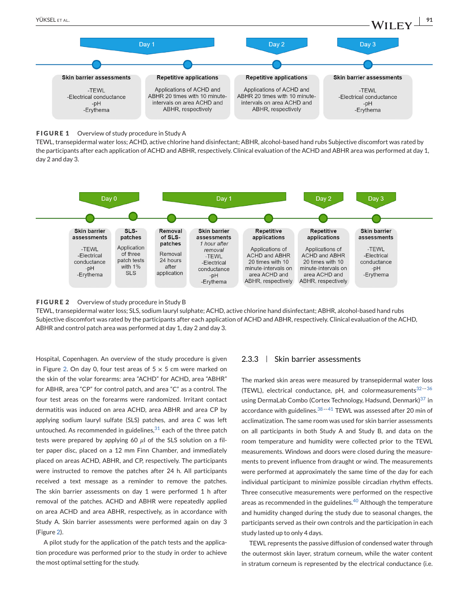<span id="page-2-0"></span>



TEWL, transepidermal water loss; ACHD, active chlorine hand disinfectant; ABHR, alcohol-based hand rubs Subjective discomfort was rated by the participants after each application of ACHD and ABHR, respectively. Clinical evaluation of the ACHD and ABHR area was performed at day 1, day 2 and day 3.



#### **FIGURE 2** Overview of study procedure in Study B

TEWL, transepidermal water loss; SLS, sodium lauryl sulphate; ACHD, active chlorine hand disinfectant; ABHR, alcohol-based hand rubs Subjective discomfort was rated by the participants after each application of ACHD and ABHR, respectively. Clinical evaluation of the ACHD, ABHR and control patch area was performed at day 1, day 2 and day 3.

Hospital, Copenhagen. An overview of the study procedure is given in Figure 2. On day 0, four test areas of  $5 \times 5$  cm were marked on the skin of the volar forearms: area "ACHD" for ACHD, area "ABHR" for ABHR, area "CP" for control patch, and area "C" as a control. The four test areas on the forearms were randomized. Irritant contact dermatitis was induced on area ACHD, area ABHR and area CP by applying sodium lauryl sulfate (SLS) patches, and area *C* was left untouched. As recommended in guidelines, $31$  each of the three patch tests were prepared by applying 60 *µ*l of the SLS solution on a filter paper disc, placed on a 12 mm Finn Chamber, and immediately placed on areas ACHD, ABHR, and CP, respectively. The participants were instructed to remove the patches after 24 h. All participants received a text message as a reminder to remove the patches. The skin barrier assessments on day 1 were performed 1 h after removal of the patches. ACHD and ABHR were repeatedly applied on area ACHD and area ABHR, respectively, as in accordance with Study A. Skin barrier assessments were performed again on day 3 (Figure 2).

A pilot study for the application of the patch tests and the application procedure was performed prior to the study in order to achieve the most optimal setting for the study.

# $2.3.3$  | Skin barrier assessments

The marked skin areas were measured by transepidermal water loss (TEWL), electrical conductance, pH, and colormeasurements $32-36$ using DermaLab Combo (Cortex Technology, Hadsund, Denmark) $37$  in accordance with guidelines.<sup>38--41</sup> TEWL was assessed after 20 min of acclimatization. The same room was used for skin barrier assessments on all participants in both Study A and Study B, and data on the room temperature and humidity were collected prior to the TEWL measurements. Windows and doors were closed during the measurements to prevent influence from draught or wind. The measurements were performed at approximately the same time of the day for each individual participant to minimize possible circadian rhythm effects. Three consecutive measurements were performed on the respective areas as recommended in the guidelines.<sup>[40](#page-8-0)</sup> Although the temperature and humidity changed during the study due to seasonal changes, the participants served as their own controls and the participation in each study lasted up to only 4 days.

TEWL represents the passive diffusion of condensed water through the outermost skin layer, stratum corneum, while the water content in stratum corneum is represented by the electrical conductance (i.e.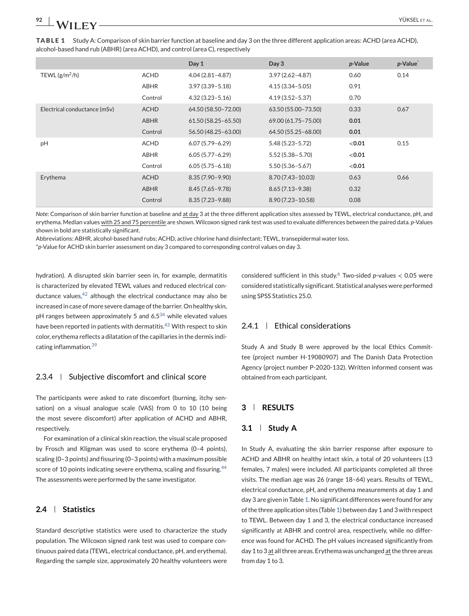<span id="page-3-0"></span>**TABLE 1** Study A: Comparison of skin barrier function at baseline and day 3 on the three different application areas: ACHD (area ACHD), alcohol-based hand rub (ABHR) (area ACHD), and control (area C), respectively

|                              |             | Day 1                  | Day 3                 | p-Value | p-Value |
|------------------------------|-------------|------------------------|-----------------------|---------|---------|
| TEWL $(g/m^2/h)$             | <b>ACHD</b> | $4.04(2.81 - 4.87)$    | $3.97(2.62 - 4.87)$   | 0.60    | 0.14    |
|                              | ABHR        | $3.97(3.39 - 5.18)$    | $4.15(3.34 - 5.05)$   | 0.91    |         |
|                              | Control     | $4.32(3.23 - 5.16)$    | $4.19(3.52 - 5.37)$   | 0.70    |         |
| Electrical conductance (mSv) | <b>ACHD</b> | 64.50 (58.50-72.00)    | 63.50 (55.00-73.50)   | 0.33    | 0.67    |
|                              | <b>ABHR</b> | $61.50(58.25 - 65.50)$ | 69.00 (61.75 - 75.00) | 0.01    |         |
|                              | Control     | 56.50 (48.25 - 63.00)  | 64.50 (55.25 - 68.00) | 0.01    |         |
| pH                           | <b>ACHD</b> | $6.07(5.79 - 6.29)$    | $5.48(5.23 - 5.72)$   | < 0.01  | 0.15    |
|                              | ABHR        | $6.05(5.77 - 6.29)$    | $5.52(5.38 - 5.70)$   | < 0.01  |         |
|                              | Control     | $6.05(5.75 - 6.18)$    | $5.50(5.36 - 5.67)$   | < 0.01  |         |
| Erythema                     | <b>ACHD</b> | $8.35(7.90 - 9.90)$    | $8.70(7.43 - 10.03)$  | 0.63    | 0.66    |
|                              | <b>ABHR</b> | $8.45(7.65 - 9.78)$    | $8.65(7.13 - 9.38)$   | 0.32    |         |
|                              | Control     | $8.35(7.23 - 9.88)$    | $8.90(7.23 - 10.58)$  | 0.08    |         |

*Note*: Comparison of skin barrier function at baseline and at day 3 at the three different application sites assessed by TEWL, electrical conductance, pH, and erythema. Median values with 25 and 75 percentile are shown. Wilcoxon signed rank test was used to evaluate differences between the paired data. *p*-Values shown in bold are statistically significant.

Abbreviations: ABHR, alcohol-based hand rubs; ACHD, active chlorine hand disinfectant; TEWL, transepidermal water loss.

\**p*-Value for ACHD skin barrier assessment on day 3 compared to corresponding control values on day 3.

hydration). A disrupted skin barrier seen in, for example, dermatitis is characterized by elevated TEWL values and reduced electrical conductance values,  $42$  although the electrical conductance may also be increased in case of more severe damage of the barrier. On healthy skin, pH ranges between approximately 5 and  $6.5^{34}$  $6.5^{34}$  $6.5^{34}$  while elevated values have been reported in patients with dermatitis.<sup>[43](#page-8-0)</sup> With respect to skin color, erythema reflects a dilatation of the capillaries in the dermis indicating inflammation.[39](#page-8-0)

# $2.3.4$  | Subjective discomfort and clinical score

The participants were asked to rate discomfort (burning, itchy sensation) on a visual analogue scale (VAS) from 0 to 10 (10 being the most severe discomfort) after application of ACHD and ABHR, respectively.

For examination of a clinical skin reaction, the visual scale proposed by Frosch and Kligman was used to score erythema (0–4 points), scaling (0–3 points) and fissuring (0–3 points) with a maximum possible score of 10 points indicating severe erythema, scaling and fissuring.<sup>[44](#page-8-0)</sup> The assessments were performed by the same investigator.

# **2.4 Statistics**

Standard descriptive statistics were used to characterize the study population. The Wilcoxon signed rank test was used to compare continuous paired data (TEWL, electrical conductance, pH, and erythema). Regarding the sample size, approximately 20 healthy volunteers were considered sufficient in this study.[6](#page-7-0) Two-sided *p*-values < 0.05 were considered statistically significant. Statistical analyses were performed using SPSS Statistics 25.0.

## 2.4.1 Ethical considerations

Study A and Study B were approved by the local Ethics Committee (project number H-19080907) and The Danish Data Protection Agency (project number P-2020-132). Written informed consent was obtained from each participant.

# **3 RESULTS**

### **3.1 Study A**

In Study A, evaluating the skin barrier response after exposure to ACHD and ABHR on healthy intact skin, a total of 20 volunteers (13 females, 7 males) were included. All participants completed all three visits. The median age was 26 (range 18–64) years. Results of TEWL, electrical conductance, pH, and erythema measurements at day 1 and day 3 are given in Table 1. No significant differences were found for any of the three application sites (Table 1) between day 1 and 3 with respect to TEWL. Between day 1 and 3, the electrical conductance increased significantly at ABHR and control area, respectively, while no difference was found for ACHD. The pH values increased significantly from day 1 to 3 at all three areas. Erythema was unchanged at the three areas from day 1 to 3.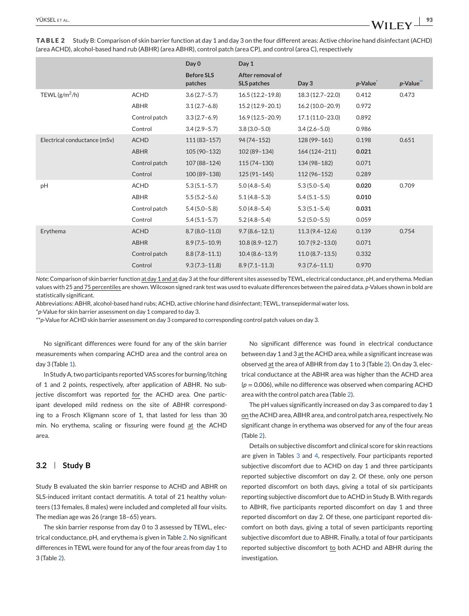Day 0 Day 1 **Before SLS patches After removal of SLS patches Day 3** *p***-Value\*** *p***-Value\*\*** TEWL (g/m2/h) ACHD 3.6 (2.7–5.7) 16.5 (12.2–19.8) 18.3 (12.7–22.0) 0.412 0.473 ABHR 3.1 (2.7–6.8) 15.2 (12.9–20.1) 16.2 (10.0–20.9) 0.972 Control patch 3.3 (2.7–6.9) 16.9 (12.5–20.9) 17.1 (11.0–23.0) 0.892 Control 3.4 (2.9–5.7) 3.8 (3.0–5.0) 3.4 (2.6–5.0) 0.986 Electrical conductance (mSv) ACHD 111 (83–157) 94 (74–152) 128 (99–161) 0.198 0.651 ABHR 105 (90–132) 102 (89–134) 164 (124–211) **0.021** Control patch 107 (88–124) 115 (74–130) 134 (98–182) 0.071 Control 100 (89–138) 125 (91–145) 112 (96–152) 0.289 pH ACHD 5.3 (5.1–5.7) 5.0 (4.8–5.4) 5.3 (5.0–5.4) **0.020** 0.709 ABHR 5.5 (5.2–5.6) 5.1 (4.8–5.3) 5.4 (5.1–5.5) **0.010** Control patch 5.4 (5.0–5.8) 5.0 (4.8–5.4) 5.3 (5.1–5.4) **0.031** Control 5.4 (5.1–5.7) 5.2 (4.8–5.4) 5.2 (5.0–5.5) 0.059 Erythema ACHD 8.7 (8.0–11.0) 9.7 (8.6–12.1) 11.3 (9.4–12.6) 0.139 0.754 ABHR 8.9 (7.5–10.9) 10.8 (8.9–12.7) 10.7 (9.2–13.0) 0.071 Control patch 8.8 (7.8–11.1) 10.4 (8.6–13.9) 11.0 (8.7–13.5) 0.332

**TABLE 2** Study B: Comparison of skin barrier function at day 1 and day 3 on the four different areas: Active chlorine hand disinfectant (ACHD) (area ACHD), alcohol-based hand rub (ABHR) (area ABHR), control patch (area CP), and control (area C), respectively

*Note*: Comparison of skin barrier function at day 1 and at day 3 at the four different sites assessed by TEWL, electrical conductance, pH, and erythema. Median values with 25 and 75 percentiles are shown. Wilcoxon signed rank test was used to evaluate differences between the paired data. *p*-Values shown in bold are statistically significant.

Control 9.3 (7.3–11.8) 8.9 (7.1–11.3) 9.3 (7.6–11.1) 0.970

Abbreviations: ABHR, alcohol-based hand rubs; ACHD, active chlorine hand disinfectant; TEWL, transepidermal water loss.

\**p*-Value for skin barrier assessment on day 1 compared to day 3.

\*\**p*-Value for ACHD skin barrier assessment on day 3 compared to corresponding control patch values on day 3.

No significant differences were found for any of the skin barrier measurements when comparing ACHD area and the control area on day 3 (Table [1\)](#page-3-0).

In Study A, two participants reported VAS scores for burning/itching of 1 and 2 points, respectively, after application of ABHR. No subjective discomfort was reported for the ACHD area. One participant developed mild redness on the site of ABHR corresponding to a Frosch Kligmann score of 1, that lasted for less than 30 min. No erythema, scaling or fissuring were found at the ACHD area.

#### **3.2 Study B**

Study B evaluated the skin barrier response to ACHD and ABHR on SLS-induced irritant contact dermatitis. A total of 21 healthy volunteers (13 females, 8 males) were included and completed all four visits. The median age was 26 (range 18–65) years.

The skin barrier response from day 0 to 3 assessed by TEWL, electrical conductance, pH, and erythema is given in Table 2. No significant differences in TEWL were found for any of the four areas from day 1 to 3 (Table 2).

No significant difference was found in electrical conductance between day 1 and 3 at the ACHD area, while a significant increase was observed at the area of ABHR from day 1 to 3 (Table 2). On day 3, electrical conductance at the ABHR area was higher than the ACHD area  $(p = 0.006)$ , while no difference was observed when comparing ACHD area with the control patch area (Table 2).

The pH values significantly increased on day 3 as compared to day 1 on the ACHD area, ABHR area, and control patch area, respectively. No significant change in erythema was observed for any of the four areas (Table 2).

Details on subjective discomfort and clinical score for skin reactions are given in Tables [3](#page-5-0) and [4,](#page-5-0) respectively. Four participants reported subjective discomfort due to ACHD on day 1 and three participants reported subjective discomfort on day 2. Of these, only one person reported discomfort on both days, giving a total of six participants reporting subjective discomfort due to ACHD in Study B. With regards to ABHR, five participants reported discomfort on day 1 and three reported discomfort on day 2. Of these, one participant reported discomfort on both days, giving a total of seven participants reporting subjective discomfort due to ABHR. Finally, a total of four participants reported subjective discomfort to both ACHD and ABHR during the investigation.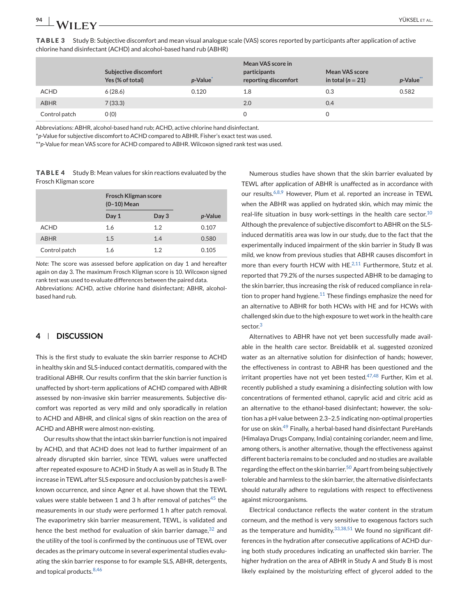<span id="page-5-0"></span>

| 94<br>,,<br>_____ |  |
|-------------------|--|
|                   |  |

|               | Subjective discomfort<br>Yes (% of total) | p-Value <sup>*</sup> | Mean VAS score in<br>participants<br>reporting discomfort | Mean VAS score<br>in total ( $n = 21$ ) | p-Value** |
|---------------|-------------------------------------------|----------------------|-----------------------------------------------------------|-----------------------------------------|-----------|
| <b>ACHD</b>   | 6(28.6)                                   | 0.120                | 1.8                                                       | 0.3                                     | 0.582     |
| <b>ABHR</b>   | 7(33.3)                                   |                      | 2.0                                                       | 0.4                                     |           |
| Control patch | O(0)                                      |                      |                                                           |                                         |           |

**TABLE 3** Study B: Subjective discomfort and mean visual analogue scale (VAS) scores reported by participants after application of active chlorine hand disinfectant (ACHD) and alcohol-based hand rub (ABHR)

Abbreviations: ABHR, alcohol-based hand rub; ACHD, active chlorine hand disinfectant.

\**p*-Value for subjective discomfort to ACHD compared to ABHR. Fisher's exact test was used.

\*\**p*-Value for mean VAS score for ACHD compared to ABHR. Wilcoxon signed rank test was used.

**TABLE 4** Study B: Mean values for skin reactions evaluated by the Frosch Kligman score

|               | <b>Frosch Kligman score</b><br>$(0-10)$ Mean |       |                 |
|---------------|----------------------------------------------|-------|-----------------|
|               | Day 1                                        | Day 3 | <i>p</i> -Value |
| <b>ACHD</b>   | 1.6                                          | 1.2   | 0.107           |
| <b>ABHR</b>   | 1.5                                          | 1.4   | 0.580           |
| Control patch | 1.6                                          | 1.2   | 0.105           |

*Note*: The score was assessed before application on day 1 and hereafter again on day 3. The maximum Frosch Kligman score is 10. Wilcoxon signed rank test was used to evaluate differences between the paired data. Abbreviations: ACHD, active chlorine hand disinfectant; ABHR, alcoholbased hand rub.

# **4 DISCUSSION**

This is the first study to evaluate the skin barrier response to ACHD in healthy skin and SLS-induced contact dermatitis, compared with the traditional ABHR. Our results confirm that the skin barrier function is unaffected by short-term applications of ACHD compared with ABHR assessed by non-invasive skin barrier measurements. Subjective discomfort was reported as very mild and only sporadically in relation to ACHD and ABHR, and clinical signs of skin reaction on the area of ACHD and ABHR were almost non-existing.

Our results show that the intact skin barrier function is not impaired by ACHD, and that ACHD does not lead to further impairment of an already disrupted skin barrier, since TEWL values were unaffected after repeated exposure to ACHD in Study A as well as in Study B. The increase in TEWL after SLS exposure and occlusion by patches is a wellknown occurrence, and since Agner et al. have shown that the TEWL values were stable between 1 and 3 h after removal of patches<sup>[45](#page-8-0)</sup> the measurements in our study were performed 1 h after patch removal. The evaporimetry skin barrier measurement, TEWL, is validated and hence the best method for evaluation of skin barrier damage,  $32$  and the utility of the tool is confirmed by the continuous use of TEWL over decades as the primary outcome in several experimental studies evaluating the skin barrier response to for example SLS, ABHR, detergents, and topical products. $8,46$ 

Numerous studies have shown that the skin barrier evaluated by TEWL after application of ABHR is unaffected as in accordance with our results.<sup>[6,8,9](#page-7-0)</sup> However, Plum et al. reported an increase in TEWL when the ABHR was applied on hydrated skin, which may mimic the real-life situation in busy work-settings in the health care sector. $10$ Although the prevalence of subjective discomfort to ABHR on the SLSinduced dermatitis area was low in our study, due to the fact that the experimentally induced impairment of the skin barrier in Study B was mild, we know from previous studies that ABHR causes discomfort in more than every fourth HCW with HE. $^{2,11}$  $^{2,11}$  $^{2,11}$  Furthermore, Stutz et al. reported that 79.2% of the nurses suspected ABHR to be damaging to the skin barrier, thus increasing the risk of reduced compliance in rela-tion to proper hand hygiene.<sup>[11](#page-7-0)</sup> These findings emphasize the need for an alternative to ABHR for both HCWs with HE and for HCWs with challenged skin due to the high exposure to wet work in the health care sector.<sup>[3](#page-7-0)</sup>

Alternatives to ABHR have not yet been successfully made available in the health care sector. Breidablik et al. suggested ozonized water as an alternative solution for disinfection of hands; however, the effectiveness in contrast to ABHR has been questioned and the irritant properties have not yet been tested. $47,48$  Further, Kim et al. recently published a study examining a disinfecting solution with low concentrations of fermented ethanol, caprylic acid and citric acid as an alternative to the ethanol-based disinfectant; however, the solution has a pH value between 2.3–2.5 indicating non-optimal properties for use on skin.[49](#page-8-0) Finally, a herbal-based hand disinfectant PureHands (Himalaya Drugs Company, India) containing coriander, neem and lime, among others, is another alternative, though the effectiveness against different bacteria remains to be concluded and no studies are available regarding the effect on the skin barrier.<sup>[50](#page-8-0)</sup> Apart from being subjectively tolerable and harmless to the skin barrier, the alternative disinfectants should naturally adhere to regulations with respect to effectiveness against microorganisms.

Electrical conductance reflects the water content in the stratum corneum, and the method is very sensitive to exogenous factors such as the temperature and humidity.  $33,38,51$  We found no significant differences in the hydration after consecutive applications of ACHD during both study procedures indicating an unaffected skin barrier. The higher hydration on the area of ABHR in Study A and Study B is most likely explained by the moisturizing effect of glycerol added to the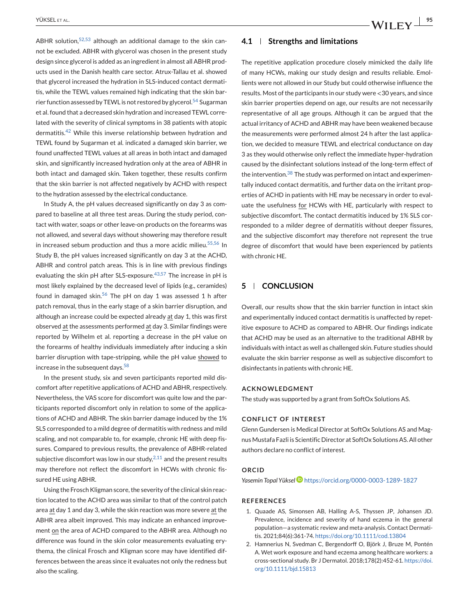<span id="page-6-0"></span>ABHR solution,  $52,53$  although an additional damage to the skin cannot be excluded. ABHR with glycerol was chosen in the present study design since glycerol is added as an ingredient in almost all ABHR products used in the Danish health care sector. Atrux-Tallau et al. showed that glycerol increased the hydration in SLS-induced contact dermatitis, while the TEWL values remained high indicating that the skin bar-rier function assessed by TEWL is not restored by glycerol.<sup>[54](#page-8-0)</sup> Sugarman et al. found that a decreased skin hydration and increased TEWL correlated with the severity of clinical symptoms in 38 patients with atopic dermatitis.<sup>[42](#page-8-0)</sup> While this inverse relationship between hydration and TEWL found by Sugarman et al. indicated a damaged skin barrier, we found unaffected TEWL values at all areas in both intact and damaged skin, and significantly increased hydration only at the area of ABHR in both intact and damaged skin. Taken together, these results confirm that the skin barrier is not affected negatively by ACHD with respect to the hydration assessed by the electrical conductance.

In Study A, the pH values decreased significantly on day 3 as compared to baseline at all three test areas. During the study period, contact with water, soaps or other leave-on products on the forearms was not allowed, and several days without showering may therefore result in increased sebum production and thus a more acidic milieu.<sup>[55,56](#page-8-0)</sup> In Study B, the pH values increased significantly on day 3 at the ACHD, ABHR and control patch areas. This is in line with previous findings evaluating the skin pH after SLS-exposure.<sup>[43,57](#page-8-0)</sup> The increase in pH is most likely explained by the decreased level of lipids (e.g., ceramides) found in damaged skin. $56$  The pH on day 1 was assessed 1 h after patch removal, thus in the early stage of a skin barrier disruption, and although an increase could be expected already at day 1, this was first observed at the assessments performed at day 3. Similar findings were reported by Wilhelm et al. reporting a decrease in the pH value on the forearms of healthy individuals immediately after inducing a skin barrier disruption with tape-stripping, while the pH value showed to increase in the subsequent days.<sup>[58](#page-8-0)</sup>

In the present study, six and seven participants reported mild discomfort after repetitive applications of ACHD and ABHR, respectively. Nevertheless, the VAS score for discomfort was quite low and the participants reported discomfort only in relation to some of the applications of ACHD and ABHR. The skin barrier damage induced by the 1% SLS corresponded to a mild degree of dermatitis with redness and mild scaling, and not comparable to, for example, chronic HE with deep fissures. Compared to previous results, the prevalence of ABHR-related subjective discomfort was low in our study, $2,11$  and the present results may therefore not reflect the discomfort in HCWs with chronic fissured HE using ABHR.

Using the Frosch Kligman score, the severity of the clinical skin reaction located to the ACHD area was similar to that of the control patch area at day 1 and day 3, while the skin reaction was more severe at the ABHR area albeit improved. This may indicate an enhanced improvement on the area of ACHD compared to the ABHR area. Although no difference was found in the skin color measurements evaluating erythema, the clinical Frosch and Kligman score may have identified differences between the areas since it evaluates not only the redness but also the scaling.

#### **4.1 Strengths and limitations**

The repetitive application procedure closely mimicked the daily life of many HCWs, making our study design and results reliable. Emollients were not allowed in our Study but could otherwise influence the results. Most of the participants in our study were <30 years, and since skin barrier properties depend on age, our results are not necessarily representative of all age groups. Although it can be argued that the actual irritancy of ACHD and ABHR may have been weakened because the measurements were performed almost 24 h after the last application, we decided to measure TEWL and electrical conductance on day 3 as they would otherwise only reflect the immediate hyper-hydration caused by the disinfectant solutions instead of the long-term effect of the intervention. $38$  The study was performed on intact and experimentally induced contact dermatitis, and further data on the irritant properties of ACHD in patients with HE may be necessary in order to evaluate the usefulness for HCWs with HE, particularly with respect to subjective discomfort. The contact dermatitis induced by 1% SLS corresponded to a milder degree of dermatitis without deeper fissures, and the subjective discomfort may therefore not represent the true degree of discomfort that would have been experienced by patients with chronic HE.

# **5 CONCLUSION**

Overall, our results show that the skin barrier function in intact skin and experimentally induced contact dermatitis is unaffected by repetitive exposure to ACHD as compared to ABHR. Our findings indicate that ACHD may be used as an alternative to the traditional ABHR by individuals with intact as well as challenged skin. Future studies should evaluate the skin barrier response as well as subjective discomfort to disinfectants in patients with chronic HE.

#### **ACKNOWLEDGMENT**

The study was supported by a grant from SoftOx Solutions AS.

#### **CONFLICT OF INTEREST**

Glenn Gundersen is Medical Director at SoftOx Solutions AS and Magnus Mustafa Fazli is Scientific Director at SoftOx Solutions AS. All other authors declare no conflict of interest.

#### **ORCID**

*Yasemin Topal Yükse[l](https://orcid.org/0000-0003-1289-1827)* <https://orcid.org/0000-0003-1289-1827>

#### **REFERENCES**

- 1. Quaade AS, Simonsen AB, Halling A-S, Thyssen JP, Johansen JD. Prevalence, incidence and severity of hand eczema in the general population—a systematic review and meta-analysis. Contact Dermatitis. 2021;84(6):361-74. <https://doi.org/10.1111/cod.13804>
- 2. Hamnerius N, Svedman C, Bergendorff O, Björk J, Bruze M, Pontén A. Wet work exposure and hand eczema among healthcare workers: a cross-sectional study. Br J Dermatol. 2018;178(2):452-61. [https://doi.](https://doi.org/10.1111/bjd.15813) [org/10.1111/bjd.15813](https://doi.org/10.1111/bjd.15813)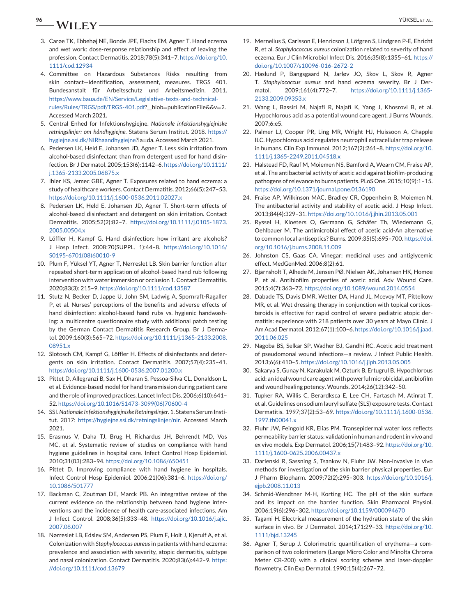# <span id="page-7-0"></span>**96** YÜKSEL ET AL.

- 3. Carøe TK, Ebbehøj NE, Bonde JPE, Flachs EM, Agner T. Hand eczema and wet work: dose-response relationship and effect of leaving the profession. Contact Dermatitis. 2018;78(5):341–7. [https://doi.org/10.](https://doi.org/10.1111/cod.12934) [1111/cod.12934](https://doi.org/10.1111/cod.12934)
- 4. Committee on Hazardous Substances Risks resulting from skin contact—identification, assessment, measures. TRGS 401. Bundesanstalt für Arbeitsschutz und Arbeitsmedizin. 2011. [https://www.baua.de/EN/Service/Legislative-texts-and-technical](https://www.baua.de/EN/Service/Legislative-texts-and-technical-rules/Rules/TRGS/pdf/TRGS-401.pdf)[rules/Rules/TRGS/pdf/TRGS-401.pdf?](https://www.baua.de/EN/Service/Legislative-texts-and-technical-rules/Rules/TRGS/pdf/TRGS-401.pdf)\_\_blob=publicationFile&&v=2. Accessed March 2021.
- 5. Central Enhed for Infektionshygiejne. *Nationale infektionshygiejniske retningslinjer: om håndhygiejne*. Statens Serum Institut. 2018. [https://](https://hygiejne.ssi.dk/NIRhaandhygiejne) [hygiejne.ssi.dk/NIRhaandhygiejne?](https://hygiejne.ssi.dk/NIRhaandhygiejne)la=da. Accessed March 2021.
- 6. Pedersen LK, Held E, Johansen JD, Agner T. Less skin irritation from alcohol-based disinfectant than from detergent used for hand disinfection. Br J Dermatol. 2005;153(6):1142–6. [https://doi.org/10.1111/](https://doi.org/10.1111/j.1365-2133.2005.06875.x) [j.1365-2133.2005.06875.x](https://doi.org/10.1111/j.1365-2133.2005.06875.x)
- 7. Ibler KS, Jemec GBE, Agner T. Exposures related to hand eczema: a study of healthcare workers. Contact Dermatitis. 2012;66(5):247–53. <https://doi.org/10.1111/j.1600-0536.2011.02027.x>
- 8. Pedersen LK, Held E, Johansen JD, Agner T. Short-term effects of alcohol-based disinfectant and detergent on skin irritation. Contact Dermatitis. 2005;52(2):82–7. [https://doi.org/10.1111/j.0105-1873.](https://doi.org/10.1111/j.0105-1873.2005.00504.x) [2005.00504.x](https://doi.org/10.1111/j.0105-1873.2005.00504.x)
- 9. Löffler H, Kampf G. Hand disinfection: how irritant are alcohols? J Hosp Infect. 2008;70(SUPPL. 1):44–8. [https://doi.org/10.1016/](https://doi.org/10.1016/S0195-6701(08)60010-9) [S0195-6701\(08\)60010-9](https://doi.org/10.1016/S0195-6701(08)60010-9)
- 10. Plum F, Yüksel YT, Agner T, Nørreslet LB. Skin barrier function after repeated short-term application of alcohol-based hand rub following intervention with water immersion or occlusion 1. Contact Dermatitis. 2020;83(3): 215–9. <https://doi.org/10.1111/cod.13587>
- 11. Stutz N, Becker D, Jappe U, John SM, Ladwig A, Spornraft-Ragaller P, et al. Nurses' perceptions of the benefits and adverse effects of hand disinfection: alcohol-based hand rubs vs. hygienic handwashing: a multicentre questionnaire study with additional patch testing by the German Contact Dermatitis Research Group. Br J Dermatol. 2009;160(3):565–72. [https://doi.org/10.1111/j.1365-2133.2008.](https://doi.org/10.1111/j.1365-2133.2008.08951.x) [08951.x](https://doi.org/10.1111/j.1365-2133.2008.08951.x)
- 12. Slotosch CM, Kampf G, Löffler H. Effects of disinfectants and detergents on skin irritation. Contact Dermatitis. 2007;57(4):235–41. <https://doi.org/10.1111/j.1600-0536.2007.01200.x>
- 13. Pittet D, Allegranzi B, Sax H, Dharan S, Pessoa-Silva CL, Donaldson L, et al. Evidence-based model for hand transmission during patient care and the role of improved practices. Lancet Infect Dis. 2006;6(10):641– 52. [https://doi.org/10.1016/S1473-3099\(06\)70600-4](https://doi.org/10.1016/S1473-3099(06)70600-4)
- 14. SSI.*Nationale Infektionshygiejniske Retningslinjer*. 1. Statens Serum Institut. 2017: [https://hygiejne.ssi.dk/retningslinjer/nir.](https://hygiejne.ssi.dk/retningslinjer/nir) Accessed March 2021.
- 15. Erasmus V, Daha TJ, Brug H, Richardus JH, Behrendt MD, Vos MC, et al. Systematic review of studies on compliance with hand hygiene guidelines in hospital care. Infect Control Hosp Epidemiol. 2010;31(03):283–94. <https://doi.org/10.1086/650451>
- 16. Pittet D. Improving compliance with hand hygiene in hospitals. Infect Control Hosp Epidemiol. 2006;21(06):381–6. [https://doi.org/](https://doi.org/10.1086/501777) [10.1086/501777](https://doi.org/10.1086/501777)
- 17. Backman C, Zoutman DE, Marck PB. An integrative review of the current evidence on the relationship between hand hygiene interventions and the incidence of health care-associated infections. Am J Infect Control. 2008;36(5):333–48. [https://doi.org/10.1016/j.ajic.](https://doi.org/10.1016/j.ajic.2007.08.007) [2007.08.007](https://doi.org/10.1016/j.ajic.2007.08.007)
- 18. Nørreslet LB, Edslev SM, Andersen PS, Plum F, Holt J, Kjerulf A, et al. Colonization with *Staphylococcus aureus* in patients with hand eczema: prevalence and association with severity, atopic dermatitis, subtype and nasal colonization. Contact Dermatitis. 2020;83(6):442–9. [https:](https://doi.org/10.1111/cod.13679) [//doi.org/10.1111/cod.13679](https://doi.org/10.1111/cod.13679)
- 19. Mernelius S, Carlsson E, Henricson J, Löfgren S, Lindgren P-E, Ehricht R, et al. *Staphylococcus aureus* colonization related to severity of hand eczema. Eur J Clin Microbiol Infect Dis. 2016;35(8):1355–61. [https://](https://doi.org/10.1007/s10096-016-2672-2) [doi.org/10.1007/s10096-016-2672-2](https://doi.org/10.1007/s10096-016-2672-2)
- 20. Haslund P, Bangsgaard N, Jarløv JO, Skov L, Skov R, Agner T. *Staphylococcus aureus* and hand eczema severity. Br J Dermatol. 2009;161(4):772–7. [https://doi.org/10.1111/j.1365-](https://doi.org/10.1111/j.1365-2133.2009.09353.x) [2133.2009.09353.x](https://doi.org/10.1111/j.1365-2133.2009.09353.x)
- 21. Wang L, Bassiri M, Najafi R, Najafi K, Yang J, Khosrovi B, et al. Hypochlorous acid as a potential wound care agent. J Burns Wounds. 2007;6:e5.
- 22. Palmer LJ, Cooper PR, Ling MR, Wright HJ, Huissoon A, Chapple ILC. Hypochlorous acid regulates neutrophil extracellular trap release in humans. Clin Exp Immunol. 2012;167(2):261–8. [https://doi.org/10.](https://doi.org/10.1111/j.1365-2249.2011.04518.x) [1111/j.1365-2249.2011.04518.x](https://doi.org/10.1111/j.1365-2249.2011.04518.x)
- 23. Halstead FD, Rauf M, Moiemen NS, Bamford A, Wearn CM, Fraise AP, et al. The antibacterial activity of acetic acid against biofilm-producing pathogens of relevance to burns patients. PLoS One. 2015;10(9):1–15. <https://doi.org/10.1371/journal.pone.0136190>
- 24. Fraise AP, Wilkinson MAC, Bradley CR, Oppenheim B, Moiemen N. The antibacterial activity and stability of acetic acid. J Hosp Infect. 2013;84(4):329–31. <https://doi.org/10.1016/j.jhin.2013.05.001>
- 25. Ryssel H, Kloeters O, Germann G, Schäfer Th, Wiedemann G, Oehlbauer M. The antimicrobial effect of acetic acid-An alternative to common local antiseptics? Burns. 2009;35(5):695–700. [https://doi.](https://doi.org/10.1016/j.burns.2008.11.009) [org/10.1016/j.burns.2008.11.009](https://doi.org/10.1016/j.burns.2008.11.009)
- 26. Johnston CS, Gaas CA. Vinegar: medicinal uses and antiglycemic effect. MedGenMed. 2006;8(2):61.
- 27. Bjarnsholt T, Alhede M, Jensen PØ, Nielsen AK, Johansen HK, Homøe P, et al. Antibiofilm properties of acetic acid. Adv Wound Care. 2015;4(7):363–72. <https://doi.org/10.1089/wound.2014.0554>
- 28. Dabade TS, Davis DMR, Wetter DA, Hand JL, Mcevoy MT, Pittelkow MR, et al. Wet dressing therapy in conjunction with topical corticosteroids is effective for rapid control of severe pediatric atopic dermatitis: experience with 218 patients over 30 years at Mayo Clinic. J Am Acad Dermatol. 2012;67(1):100–6. [https://doi.org/10.1016/j.jaad.](https://doi.org/10.1016/j.jaad.2011.06.025) [2011.06.025](https://doi.org/10.1016/j.jaad.2011.06.025)
- 29. Nagoba BS, Selkar SP, Wadher BJ, Gandhi RC. Acetic acid treatment of pseudomonal wound infections—a review. J Infect Public Health. 2013;6(6):410–5. <https://doi.org/10.1016/j.jiph.2013.05.005>
- 30. Sakarya S, Gunay N, Karakulak M, Ozturk B, Ertugrul B. Hypochlorous acid: an ideal wound care agent with powerful microbicidal, antibiofilm and wound healing potency. Wounds. 2014;26(12):342–50.
- 31. Tupker RA, Willis C, Berardksca E, Lee CH, Fartasch M, Atinrat T, et al. Guidelines on sodium lauryl sulfate (SLS) exposure tests. Contact Dermatitis. 1997;37(2):53–69. [https://doi.org/10.1111/j.1600-0536.](https://doi.org/10.1111/j.1600-0536.1997.tb00041.x) [1997.tb00041.x](https://doi.org/10.1111/j.1600-0536.1997.tb00041.x)
- 32. Fluhr JW, Feingold KR, Elias PM. Transepidermal water loss reflects permeability barrier status: validation in human and rodent in vivo and ex vivo models. Exp Dermatol. 2006;15(7):483–92. [https://doi.org/10.](https://doi.org/10.1111/j.1600-0625.2006.00437.x) [1111/j.1600-0625.2006.00437.x](https://doi.org/10.1111/j.1600-0625.2006.00437.x)
- 33. Darlenski R, Sassning S, Tsankov N, Fluhr JW. Non-invasive in vivo methods for investigation of the skin barrier physical properties. Eur J Pharm Biopharm. 2009;72(2):295–303. [https://doi.org/10.1016/j.](https://doi.org/10.1016/j.ejpb.2008.11.013) [ejpb.2008.11.013](https://doi.org/10.1016/j.ejpb.2008.11.013)
- 34. Schmid-Wendtner M-H, Korting HC. The pH of the skin surface and its impact on the barrier function. Skin Pharmacol Physiol. 2006;19(6):296–302. <https://doi.org/10.1159/000094670>
- 35. Tagami H. Electrical measurement of the hydration state of the skin surface in vivo. Br J Dermatol. 2014;171:29–33. [https://doi.org/10.](https://doi.org/10.1111/bjd.13245) [1111/bjd.13245](https://doi.org/10.1111/bjd.13245)
- 36. Agner T, Serup J. Colorimetric quantification of erythema—a comparison of two colorimeters (Lange Micro Color and Minolta Chroma Meter CR-200) with a clinical scoring scheme and laser-doppler flowmetry. Clin Exp Dermatol. 1990;15(4):267–72.